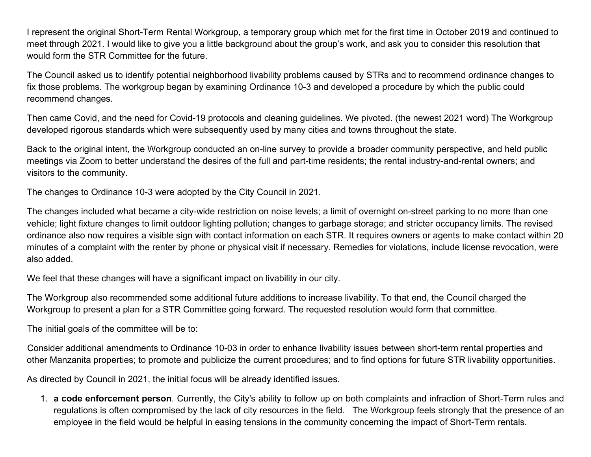I represent the original Short-Term Rental Workgroup, a temporary group which met for the first time in October 2019 and continued to meet through 2021. I would like to give you a little background about the group's work, and ask you to consider this resolution that would form the STR Committee for the future.

The Council asked us to identify potential neighborhood livability problems caused by STRs and to recommend ordinance changes to fix those problems. The workgroup began by examining Ordinance 10-3 and developed a procedure by which the public could recommend changes.

Then came Covid, and the need for Covid-19 protocols and cleaning guidelines. We pivoted. (the newest 2021 word) The Workgroup developed rigorous standards which were subsequently used by many cities and towns throughout the state.

Back to the original intent, the Workgroup conducted an on-line survey to provide a broader community perspective, and held public meetings via Zoom to better understand the desires of the full and part-time residents; the rental industry-and-rental owners; and visitors to the community.

The changes to Ordinance 10-3 were adopted by the City Council in 2021.

The changes included what became a city-wide restriction on noise levels; a limit of overnight on-street parking to no more than one vehicle; light fixture changes to limit outdoor lighting pollution; changes to garbage storage; and stricter occupancy limits. The revised ordinance also now requires a visible sign with contact information on each STR. It requires owners or agents to make contact within 20 minutes of a complaint with the renter by phone or physical visit if necessary. Remedies for violations, include license revocation, were also added.

We feel that these changes will have a significant impact on livability in our city.

The Workgroup also recommended some additional future additions to increase livability. To that end, the Council charged the Workgroup to present a plan for a STR Committee going forward. The requested resolution would form that committee.

The initial goals of the committee will be to:

Consider additional amendments to Ordinance 10-03 in order to enhance livability issues between short-term rental properties and other Manzanita properties; to promote and publicize the current procedures; and to find options for future STR livability opportunities.

As directed by Council in 2021, the initial focus will be already identified issues.

1. **a code enforcement person**. Currently, the City's ability to follow up on both complaints and infraction of Short-Term rules and regulations is often compromised by the lack of city resources in the field. The Workgroup feels strongly that the presence of an employee in the field would be helpful in easing tensions in the community concerning the impact of Short-Term rentals.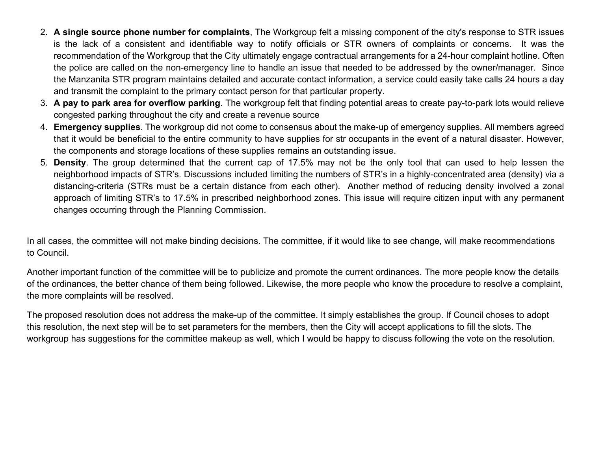- 2. **A single source phone number for complaints**, The Workgroup felt a missing component of the city's response to STR issues is the lack of a consistent and identifiable way to notify officials or STR owners of complaints or concerns. It was the recommendation of the Workgroup that the City ultimately engage contractual arrangements for a 24-hour complaint hotline. Often the police are called on the non-emergency line to handle an issue that needed to be addressed by the owner/manager. Since the Manzanita STR program maintains detailed and accurate contact information, a service could easily take calls 24 hours a day and transmit the complaint to the primary contact person for that particular property.
- 3. **A pay to park area for overflow parking**. The workgroup felt that finding potential areas to create pay-to-park lots would relieve congested parking throughout the city and create a revenue source
- 4. **Emergency supplies**. The workgroup did not come to consensus about the make-up of emergency supplies. All members agreed that it would be beneficial to the entire community to have supplies for str occupants in the event of a natural disaster. However, the components and storage locations of these supplies remains an outstanding issue.
- 5. **Density**. The group determined that the current cap of 17.5% may not be the only tool that can used to help lessen the neighborhood impacts of STR's. Discussions included limiting the numbers of STR's in a highly-concentrated area (density) via a distancing-criteria (STRs must be a certain distance from each other). Another method of reducing density involved a zonal approach of limiting STR's to 17.5% in prescribed neighborhood zones. This issue will require citizen input with any permanent changes occurring through the Planning Commission.

In all cases, the committee will not make binding decisions. The committee, if it would like to see change, will make recommendations to Council.

Another important function of the committee will be to publicize and promote the current ordinances. The more people know the details of the ordinances, the better chance of them being followed. Likewise, the more people who know the procedure to resolve a complaint, the more complaints will be resolved.

The proposed resolution does not address the make-up of the committee. It simply establishes the group. If Council choses to adopt this resolution, the next step will be to set parameters for the members, then the City will accept applications to fill the slots. The workgroup has suggestions for the committee makeup as well, which I would be happy to discuss following the vote on the resolution.